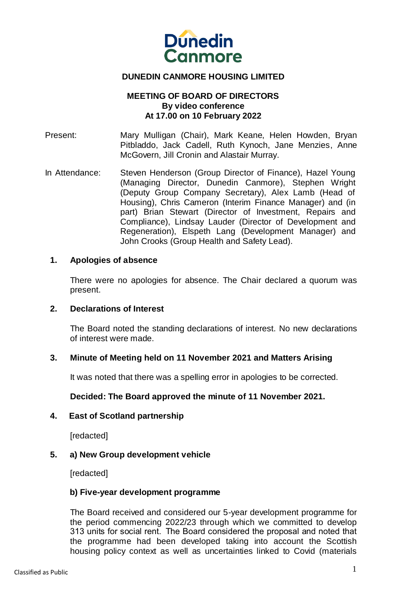

# **DUNEDIN CANMORE HOUSING LIMITED**

### **MEETING OF BOARD OF DIRECTORS By video conference At 17.00 on 10 February 2022**

Present: Mary Mulligan (Chair), Mark Keane, Helen Howden, Bryan Pitbladdo, Jack Cadell, Ruth Kynoch, Jane Menzies, Anne McGovern, Jill Cronin and Alastair Murray.

In Attendance: Steven Henderson (Group Director of Finance), Hazel Young (Managing Director, Dunedin Canmore), Stephen Wright (Deputy Group Company Secretary), Alex Lamb (Head of Housing), Chris Cameron (Interim Finance Manager) and (in part) Brian Stewart (Director of Investment, Repairs and Compliance), Lindsay Lauder (Director of Development and Regeneration), Elspeth Lang (Development Manager) and John Crooks (Group Health and Safety Lead).

#### **1. Apologies of absence**

There were no apologies for absence. The Chair declared a quorum was present.

#### **2. Declarations of Interest**

The Board noted the standing declarations of interest. No new declarations of interest were made.

#### **3. Minute of Meeting held on 11 November 2021 and Matters Arising**

It was noted that there was a spelling error in apologies to be corrected.

#### **Decided: The Board approved the minute of 11 November 2021.**

#### **4. East of Scotland partnership**

[redacted]

#### **5. a) New Group development vehicle**

[redacted]

#### **b) Five-year development programme**

The Board received and considered our 5-year development programme for the period commencing 2022/23 through which we committed to develop 313 units for social rent.  The Board considered the proposal and noted that the programme had been developed taking into account the Scottish housing policy context as well as uncertainties linked to Covid (materials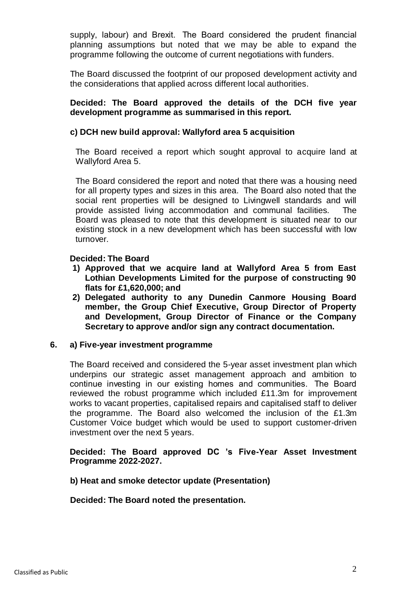supply, labour) and Brexit.  The Board considered the prudent financial planning assumptions but noted that we may be able to expand the programme following the outcome of current negotiations with funders.

The Board discussed the footprint of our proposed development activity and the considerations that applied across different local authorities.

### **Decided: The Board approved the details of the DCH five year development programme as summarised in this report.**

# **c) DCH new build approval: Wallyford area 5 acquisition**

The Board received a report which sought approval to acquire land at Wallyford Area 5.

The Board considered the report and noted that there was a housing need for all property types and sizes in this area. The Board also noted that the social rent properties will be designed to Livingwell standards and will provide assisted living accommodation and communal facilities. The Board was pleased to note that this development is situated near to our existing stock in a new development which has been successful with low turnover.

### **Decided: The Board**

- **1) Approved that we acquire land at Wallyford Area 5 from East Lothian Developments Limited for the purpose of constructing 90 flats for £1,620,000; and**
- **2) Delegated authority to any Dunedin Canmore Housing Board member, the Group Chief Executive, Group Director of Property and Development, Group Director of Finance or the Company Secretary to approve and/or sign any contract documentation.**

#### **6. a) Five-year investment programme**

The Board received and considered the 5-year asset investment plan which underpins our strategic asset management approach and ambition to continue investing in our existing homes and communities.  The Board reviewed the robust programme which included £11.3m for improvement works to vacant properties, capitalised repairs and capitalised staff to deliver the programme. The Board also welcomed the inclusion of the £1.3m Customer Voice budget which would be used to support customer-driven investment over the next 5 years.

### **Decided: The Board approved DC 's Five-Year Asset Investment Programme 2022-2027.**

#### **b) Heat and smoke detector update (Presentation)**

**Decided: The Board noted the presentation.**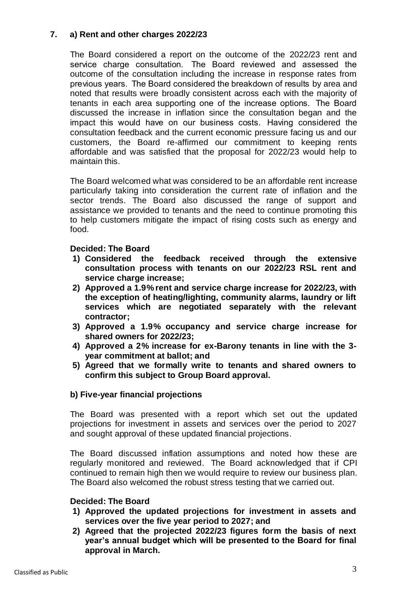# **7. a) Rent and other charges 2022/23**

The Board considered a report on the outcome of the 2022/23 rent and service charge consultation.  The Board reviewed and assessed the outcome of the consultation including the increase in response rates from previous years.  The Board considered the breakdown of results by area and noted that results were broadly consistent across each with the majority of tenants in each area supporting one of the increase options.  The Board discussed the increase in inflation since the consultation began and the impact this would have on our business costs.  Having considered the consultation feedback and the current economic pressure facing us and our customers, the Board re-affirmed our commitment to keeping rents affordable and was satisfied that the proposal for 2022/23 would help to maintain this.

The Board welcomed what was considered to be an affordable rent increase particularly taking into consideration the current rate of inflation and the sector trends. The Board also discussed the range of support and assistance we provided to tenants and the need to continue promoting this to help customers mitigate the impact of rising costs such as energy and food.

# **Decided: The Board**

- **1) Considered the feedback received through the extensive consultation process with tenants on our 2022/23 RSL rent and service charge increase;**
- **2) Approved a 1.9% rent and service charge increase for 2022/23, with the exception of heating/lighting, community alarms, laundry or lift services which are negotiated separately with the relevant contractor;**
- **3) Approved a 1.9% occupancy and service charge increase for shared owners for 2022/23;**
- **4) Approved a 2% increase for ex-Barony tenants in line with the 3 year commitment at ballot; and**
- **5) Agreed that we formally write to tenants and shared owners to confirm this subject to Group Board approval.**

# **b) Five-year financial projections**

The Board was presented with a report which set out the updated projections for investment in assets and services over the period to 2027 and sought approval of these updated financial projections.

The Board discussed inflation assumptions and noted how these are regularly monitored and reviewed. The Board acknowledged that if CPI continued to remain high then we would require to review our business plan. The Board also welcomed the robust stress testing that we carried out.

# **Decided: The Board**

- **1) Approved the updated projections for investment in assets and services over the five year period to 2027; and**
- **2) Agreed that the projected 2022/23 figures form the basis of next year's annual budget which will be presented to the Board for final approval in March.**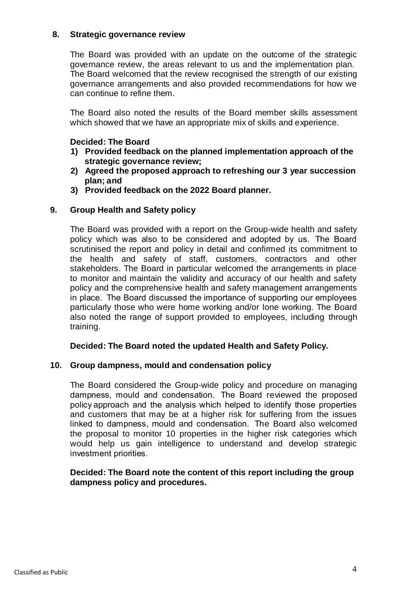# **8. Strategic governance review**

The Board was provided with an update on the outcome of the strategic governance review, the areas relevant to us and the implementation plan. The Board welcomed that the review recognised the strength of our existing governance arrangements and also provided recommendations for how we can continue to refine them.

The Board also noted the results of the Board member skills assessment which showed that we have an appropriate mix of skills and experience.

# **Decided: The Board**

- **1) Provided feedback on the planned implementation approach of the strategic governance review;**
- **2) Agreed the proposed approach to refreshing our 3 year succession plan; and**
- **3) Provided feedback on the 2022 Board planner.**

# **9. Group Health and Safety policy**

The Board was provided with a report on the Group-wide health and safety policy which was also to be considered and adopted by us.  The Board scrutinised the report and policy in detail and confirmed its commitment to the health and safety of staff, customers, contractors and other stakeholders. The Board in particular welcomed the arrangements in place to monitor and maintain the validity and accuracy of our health and safety policy and the comprehensive health and safety management arrangements in place.  The Board discussed the importance of supporting our employees particularly those who were home working and/or lone working. The Board also noted the range of support provided to employees, including through training.

# **Decided: The Board noted the updated Health and Safety Policy.**

# **10. Group dampness, mould and condensation policy**

The Board considered the Group-wide policy and procedure on managing dampness, mould and condensation.  The Board reviewed the proposed policy approach and the analysis which helped to identify those properties and customers that may be at a higher risk for suffering from the issues linked to dampness, mould and condensation.  The Board also welcomed the proposal to monitor 10 properties in the higher risk categories which would help us gain intelligence to understand and develop strategic investment priorities. 

# **Decided: The Board note the content of this report including the group dampness policy and procedures.**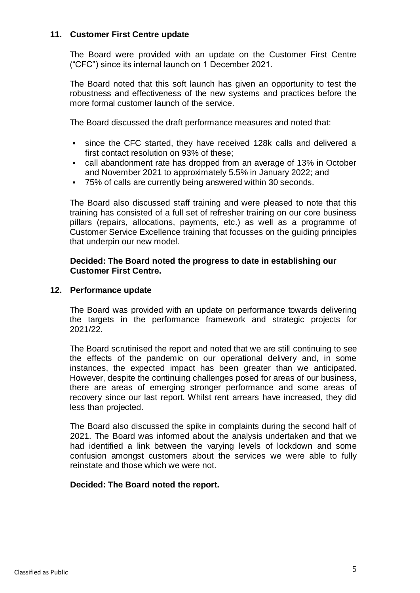# **11. Customer First Centre update**

The Board were provided with an update on the Customer First Centre ("CFC") since its internal launch on 1 December 2021.

The Board noted that this soft launch has given an opportunity to test the robustness and effectiveness of the new systems and practices before the more formal customer launch of the service.

The Board discussed the draft performance measures and noted that:

- since the CFC started, they have received 128k calls and delivered a first contact resolution on 93% of these;
- call abandonment rate has dropped from an average of 13% in October and November 2021 to approximately 5.5% in January 2022; and
- 75% of calls are currently being answered within 30 seconds.

The Board also discussed staff training and were pleased to note that this training has consisted of a full set of refresher training on our core business pillars (repairs, allocations, payments, etc.) as well as a programme of Customer Service Excellence training that focusses on the guiding principles that underpin our new model.

#### **Decided: The Board noted the progress to date in establishing our Customer First Centre.**

### **12. Performance update**

The Board was provided with an update on performance towards delivering the targets in the performance framework and strategic projects for 2021/22.

The Board scrutinised the report and noted that we are still continuing to see the effects of the pandemic on our operational delivery and, in some instances, the expected impact has been greater than we anticipated. However, despite the continuing challenges posed for areas of our business, there are areas of emerging stronger performance and some areas of recovery since our last report. Whilst rent arrears have increased, they did less than projected. 

The Board also discussed the spike in complaints during the second half of 2021. The Board was informed about the analysis undertaken and that we had identified a link between the varying levels of lockdown and some confusion amongst customers about the services we were able to fully reinstate and those which we were not.

#### **Decided: The Board noted the report.**